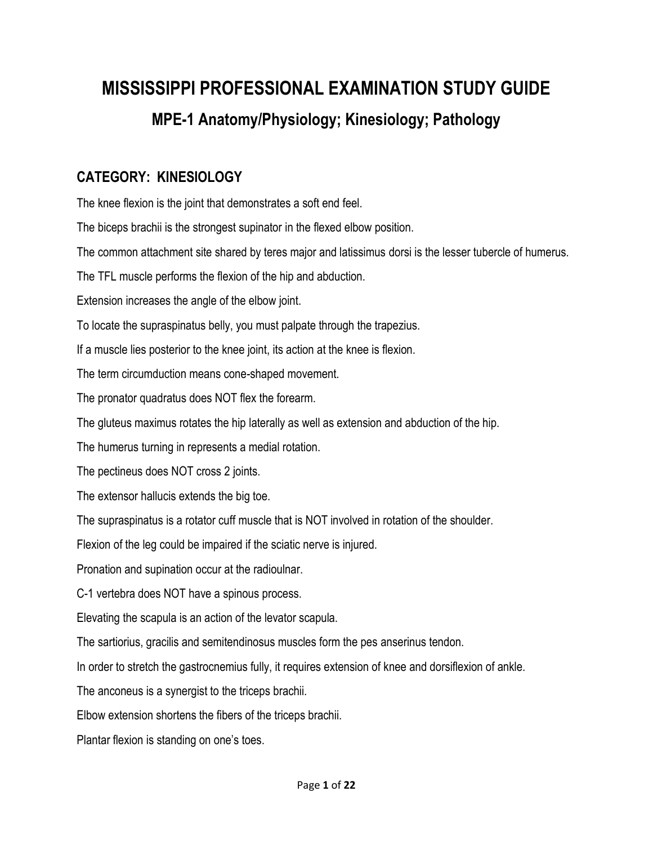## **MISSISSIPPI PROFESSIONAL EXAMINATION STUDY GUIDE MPE-1 Anatomy/Physiology; Kinesiology; Pathology**

## **CATEGORY: KINESIOLOGY**

The knee flexion is the joint that demonstrates a soft end feel.

The biceps brachii is the strongest supinator in the flexed elbow position.

The common attachment site shared by teres major and latissimus dorsi is the lesser tubercle of humerus.

The TFL muscle performs the flexion of the hip and abduction.

Extension increases the angle of the elbow joint.

To locate the supraspinatus belly, you must palpate through the trapezius.

If a muscle lies posterior to the knee joint, its action at the knee is flexion.

The term circumduction means cone-shaped movement.

The pronator quadratus does NOT flex the forearm.

The gluteus maximus rotates the hip laterally as well as extension and abduction of the hip.

The humerus turning in represents a medial rotation.

The pectineus does NOT cross 2 joints.

The extensor hallucis extends the big toe.

The supraspinatus is a rotator cuff muscle that is NOT involved in rotation of the shoulder.

Flexion of the leg could be impaired if the sciatic nerve is injured.

Pronation and supination occur at the radioulnar.

C-1 vertebra does NOT have a spinous process.

Elevating the scapula is an action of the levator scapula.

The sartiorius, gracilis and semitendinosus muscles form the pes anserinus tendon.

In order to stretch the gastrocnemius fully, it requires extension of knee and dorsiflexion of ankle.

The anconeus is a synergist to the triceps brachii.

Elbow extension shortens the fibers of the triceps brachii.

Plantar flexion is standing on one's toes.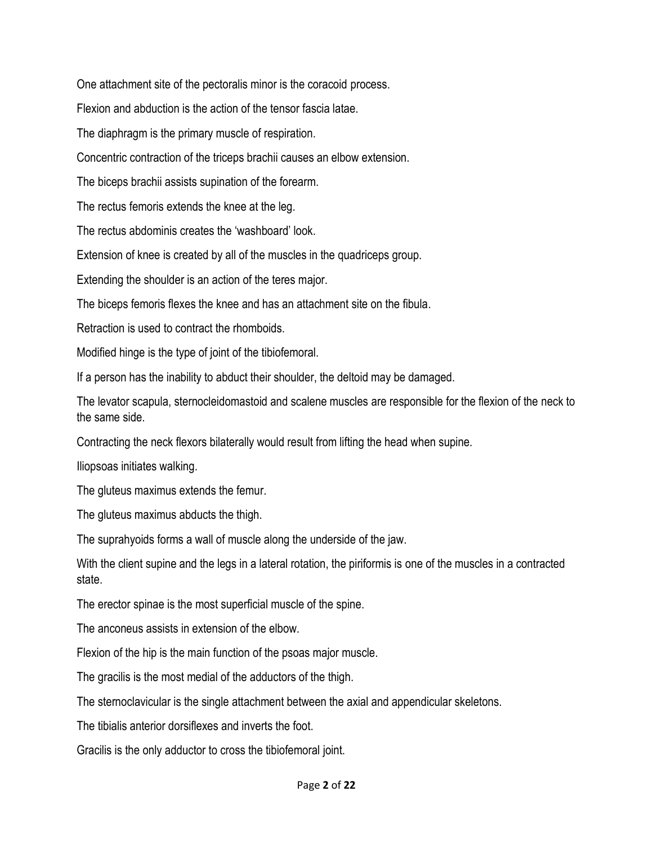One attachment site of the pectoralis minor is the coracoid process.

Flexion and abduction is the action of the tensor fascia latae.

The diaphragm is the primary muscle of respiration.

Concentric contraction of the triceps brachii causes an elbow extension.

The biceps brachii assists supination of the forearm.

The rectus femoris extends the knee at the leg.

The rectus abdominis creates the 'washboard' look.

Extension of knee is created by all of the muscles in the quadriceps group.

Extending the shoulder is an action of the teres major.

The biceps femoris flexes the knee and has an attachment site on the fibula.

Retraction is used to contract the rhomboids.

Modified hinge is the type of joint of the tibiofemoral.

If a person has the inability to abduct their shoulder, the deltoid may be damaged.

The levator scapula, sternocleidomastoid and scalene muscles are responsible for the flexion of the neck to the same side.

Contracting the neck flexors bilaterally would result from lifting the head when supine.

Iliopsoas initiates walking.

The gluteus maximus extends the femur.

The gluteus maximus abducts the thigh.

The suprahyoids forms a wall of muscle along the underside of the jaw.

With the client supine and the legs in a lateral rotation, the piriformis is one of the muscles in a contracted state.

The erector spinae is the most superficial muscle of the spine.

The anconeus assists in extension of the elbow.

Flexion of the hip is the main function of the psoas major muscle.

The gracilis is the most medial of the adductors of the thigh.

The sternoclavicular is the single attachment between the axial and appendicular skeletons.

The tibialis anterior dorsiflexes and inverts the foot.

Gracilis is the only adductor to cross the tibiofemoral joint.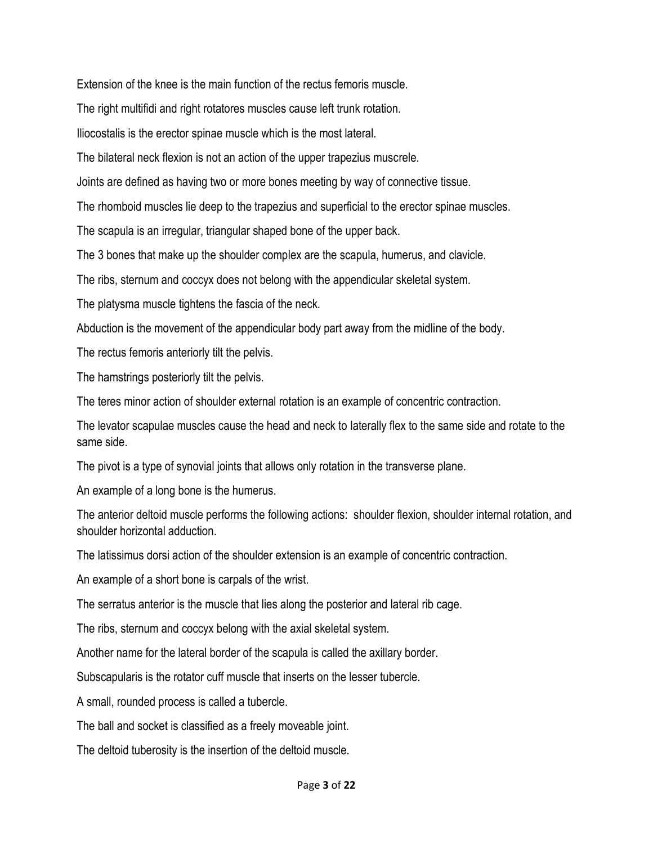Extension of the knee is the main function of the rectus femoris muscle.

The right multifidi and right rotatores muscles cause left trunk rotation.

Iliocostalis is the erector spinae muscle which is the most lateral.

The bilateral neck flexion is not an action of the upper trapezius muscrele.

Joints are defined as having two or more bones meeting by way of connective tissue.

The rhomboid muscles lie deep to the trapezius and superficial to the erector spinae muscles.

The scapula is an irregular, triangular shaped bone of the upper back.

The 3 bones that make up the shoulder complex are the scapula, humerus, and clavicle.

The ribs, sternum and coccyx does not belong with the appendicular skeletal system.

The platysma muscle tightens the fascia of the neck.

Abduction is the movement of the appendicular body part away from the midline of the body.

The rectus femoris anteriorly tilt the pelvis.

The hamstrings posteriorly tilt the pelvis.

The teres minor action of shoulder external rotation is an example of concentric contraction.

The levator scapulae muscles cause the head and neck to laterally flex to the same side and rotate to the same side.

The pivot is a type of synovial joints that allows only rotation in the transverse plane.

An example of a long bone is the humerus.

The anterior deltoid muscle performs the following actions: shoulder flexion, shoulder internal rotation, and shoulder horizontal adduction.

The latissimus dorsi action of the shoulder extension is an example of concentric contraction.

An example of a short bone is carpals of the wrist.

The serratus anterior is the muscle that lies along the posterior and lateral rib cage.

The ribs, sternum and coccyx belong with the axial skeletal system.

Another name for the lateral border of the scapula is called the axillary border.

Subscapularis is the rotator cuff muscle that inserts on the lesser tubercle.

A small, rounded process is called a tubercle.

The ball and socket is classified as a freely moveable joint.

The deltoid tuberosity is the insertion of the deltoid muscle.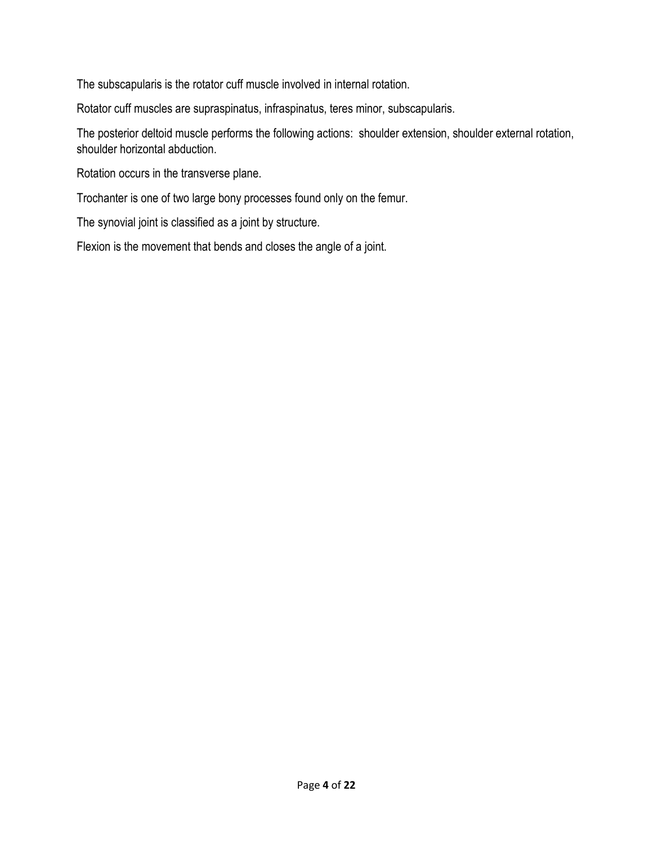The subscapularis is the rotator cuff muscle involved in internal rotation.

Rotator cuff muscles are supraspinatus, infraspinatus, teres minor, subscapularis.

The posterior deltoid muscle performs the following actions: shoulder extension, shoulder external rotation, shoulder horizontal abduction.

Rotation occurs in the transverse plane.

Trochanter is one of two large bony processes found only on the femur.

The synovial joint is classified as a joint by structure.

Flexion is the movement that bends and closes the angle of a joint.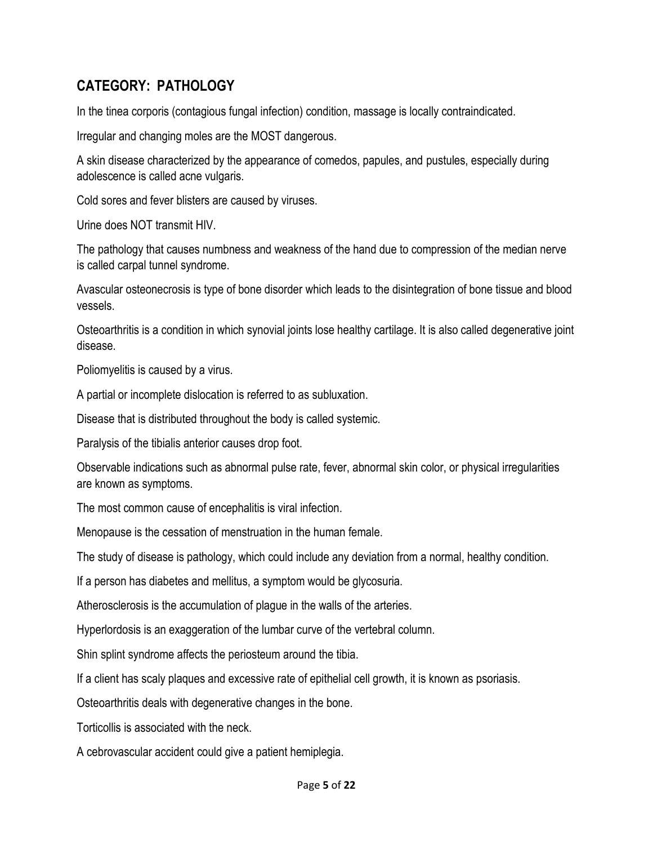## **CATEGORY: PATHOLOGY**

In the tinea corporis (contagious fungal infection) condition, massage is locally contraindicated.

Irregular and changing moles are the MOST dangerous.

A skin disease characterized by the appearance of comedos, papules, and pustules, especially during adolescence is called acne vulgaris.

Cold sores and fever blisters are caused by viruses.

Urine does NOT transmit HIV.

The pathology that causes numbness and weakness of the hand due to compression of the median nerve is called carpal tunnel syndrome.

Avascular osteonecrosis is type of bone disorder which leads to the disintegration of bone tissue and blood vessels.

Osteoarthritis is a condition in which synovial joints lose healthy cartilage. It is also called degenerative joint disease.

Poliomyelitis is caused by a virus.

A partial or incomplete dislocation is referred to as subluxation.

Disease that is distributed throughout the body is called systemic.

Paralysis of the tibialis anterior causes drop foot.

Observable indications such as abnormal pulse rate, fever, abnormal skin color, or physical irregularities are known as symptoms.

The most common cause of encephalitis is viral infection.

Menopause is the cessation of menstruation in the human female.

The study of disease is pathology, which could include any deviation from a normal, healthy condition.

If a person has diabetes and mellitus, a symptom would be glycosuria.

Atherosclerosis is the accumulation of plague in the walls of the arteries.

Hyperlordosis is an exaggeration of the lumbar curve of the vertebral column.

Shin splint syndrome affects the periosteum around the tibia.

If a client has scaly plaques and excessive rate of epithelial cell growth, it is known as psoriasis.

Osteoarthritis deals with degenerative changes in the bone.

Torticollis is associated with the neck.

A cebrovascular accident could give a patient hemiplegia.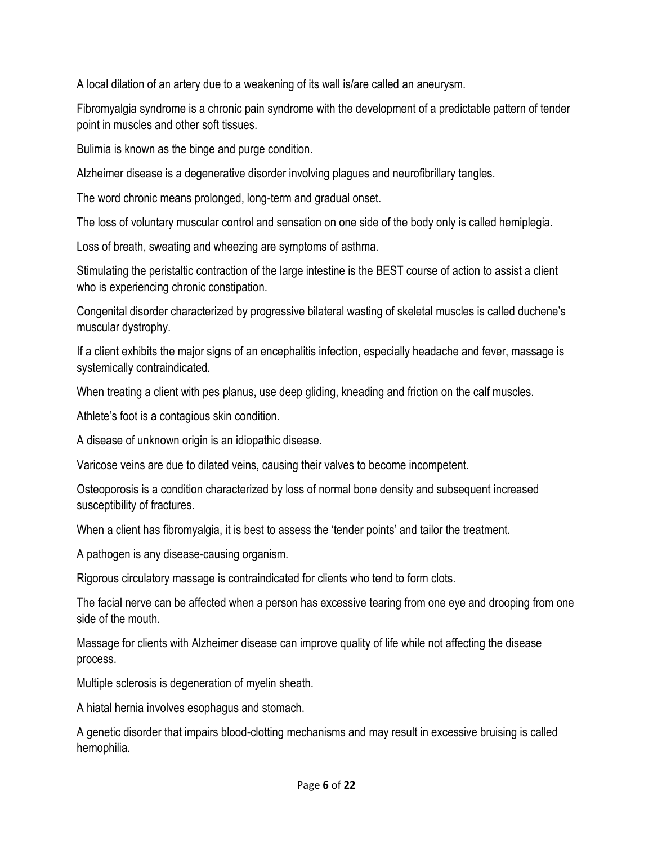A local dilation of an artery due to a weakening of its wall is/are called an aneurysm.

Fibromyalgia syndrome is a chronic pain syndrome with the development of a predictable pattern of tender point in muscles and other soft tissues.

Bulimia is known as the binge and purge condition.

Alzheimer disease is a degenerative disorder involving plagues and neurofibrillary tangles.

The word chronic means prolonged, long-term and gradual onset.

The loss of voluntary muscular control and sensation on one side of the body only is called hemiplegia.

Loss of breath, sweating and wheezing are symptoms of asthma.

Stimulating the peristaltic contraction of the large intestine is the BEST course of action to assist a client who is experiencing chronic constipation.

Congenital disorder characterized by progressive bilateral wasting of skeletal muscles is called duchene's muscular dystrophy.

If a client exhibits the major signs of an encephalitis infection, especially headache and fever, massage is systemically contraindicated.

When treating a client with pes planus, use deep gliding, kneading and friction on the calf muscles.

Athlete's foot is a contagious skin condition.

A disease of unknown origin is an idiopathic disease.

Varicose veins are due to dilated veins, causing their valves to become incompetent.

Osteoporosis is a condition characterized by loss of normal bone density and subsequent increased susceptibility of fractures.

When a client has fibromyalgia, it is best to assess the 'tender points' and tailor the treatment.

A pathogen is any disease-causing organism.

Rigorous circulatory massage is contraindicated for clients who tend to form clots.

The facial nerve can be affected when a person has excessive tearing from one eye and drooping from one side of the mouth.

Massage for clients with Alzheimer disease can improve quality of life while not affecting the disease process.

Multiple sclerosis is degeneration of myelin sheath.

A hiatal hernia involves esophagus and stomach.

A genetic disorder that impairs blood-clotting mechanisms and may result in excessive bruising is called hemophilia.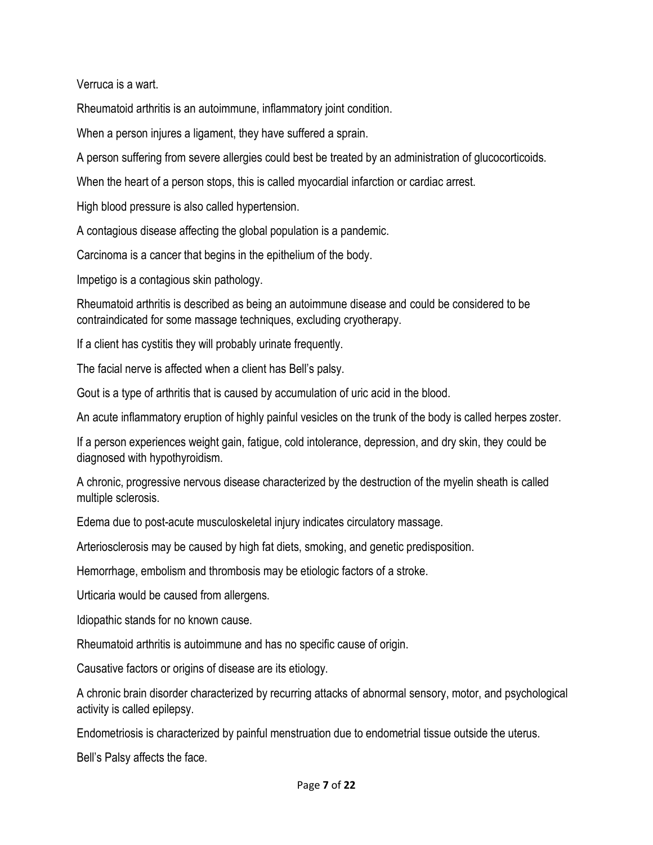Verruca is a wart.

Rheumatoid arthritis is an autoimmune, inflammatory joint condition.

When a person injures a ligament, they have suffered a sprain.

A person suffering from severe allergies could best be treated by an administration of glucocorticoids.

When the heart of a person stops, this is called myocardial infarction or cardiac arrest.

High blood pressure is also called hypertension.

A contagious disease affecting the global population is a pandemic.

Carcinoma is a cancer that begins in the epithelium of the body.

Impetigo is a contagious skin pathology.

Rheumatoid arthritis is described as being an autoimmune disease and could be considered to be contraindicated for some massage techniques, excluding cryotherapy.

If a client has cystitis they will probably urinate frequently.

The facial nerve is affected when a client has Bell's palsy.

Gout is a type of arthritis that is caused by accumulation of uric acid in the blood.

An acute inflammatory eruption of highly painful vesicles on the trunk of the body is called herpes zoster.

If a person experiences weight gain, fatigue, cold intolerance, depression, and dry skin, they could be diagnosed with hypothyroidism.

A chronic, progressive nervous disease characterized by the destruction of the myelin sheath is called multiple sclerosis.

Edema due to post-acute musculoskeletal injury indicates circulatory massage.

Arteriosclerosis may be caused by high fat diets, smoking, and genetic predisposition.

Hemorrhage, embolism and thrombosis may be etiologic factors of a stroke.

Urticaria would be caused from allergens.

Idiopathic stands for no known cause.

Rheumatoid arthritis is autoimmune and has no specific cause of origin.

Causative factors or origins of disease are its etiology.

A chronic brain disorder characterized by recurring attacks of abnormal sensory, motor, and psychological activity is called epilepsy.

Endometriosis is characterized by painful menstruation due to endometrial tissue outside the uterus.

Bell's Palsy affects the face.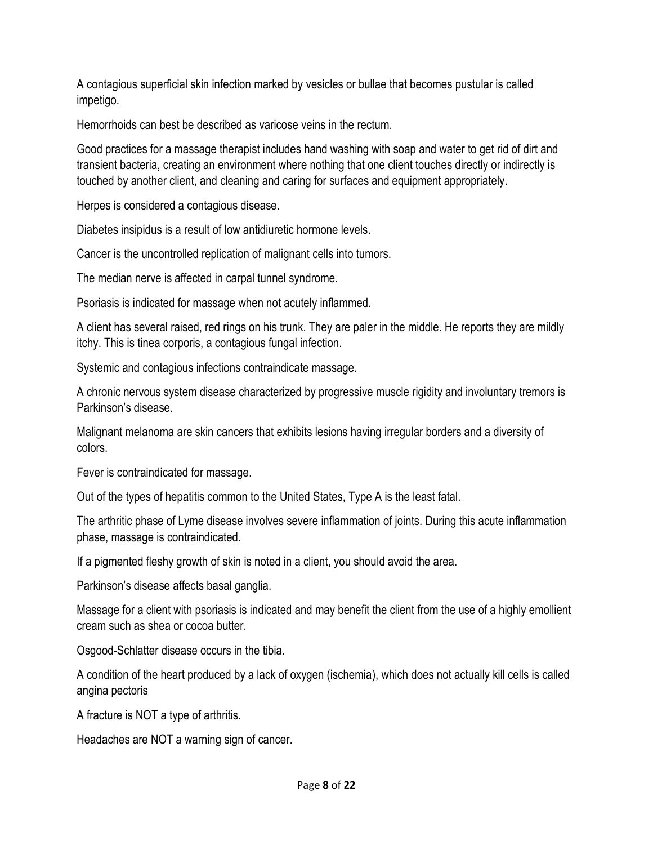A contagious superficial skin infection marked by vesicles or bullae that becomes pustular is called impetigo.

Hemorrhoids can best be described as varicose veins in the rectum.

Good practices for a massage therapist includes hand washing with soap and water to get rid of dirt and transient bacteria, creating an environment where nothing that one client touches directly or indirectly is touched by another client, and cleaning and caring for surfaces and equipment appropriately.

Herpes is considered a contagious disease.

Diabetes insipidus is a result of low antidiuretic hormone levels.

Cancer is the uncontrolled replication of malignant cells into tumors.

The median nerve is affected in carpal tunnel syndrome.

Psoriasis is indicated for massage when not acutely inflammed.

A client has several raised, red rings on his trunk. They are paler in the middle. He reports they are mildly itchy. This is tinea corporis, a contagious fungal infection.

Systemic and contagious infections contraindicate massage.

A chronic nervous system disease characterized by progressive muscle rigidity and involuntary tremors is Parkinson's disease.

Malignant melanoma are skin cancers that exhibits lesions having irregular borders and a diversity of colors.

Fever is contraindicated for massage.

Out of the types of hepatitis common to the United States, Type A is the least fatal.

The arthritic phase of Lyme disease involves severe inflammation of joints. During this acute inflammation phase, massage is contraindicated.

If a pigmented fleshy growth of skin is noted in a client, you should avoid the area.

Parkinson's disease affects basal ganglia.

Massage for a client with psoriasis is indicated and may benefit the client from the use of a highly emollient cream such as shea or cocoa butter.

Osgood-Schlatter disease occurs in the tibia.

A condition of the heart produced by a lack of oxygen (ischemia), which does not actually kill cells is called angina pectoris

A fracture is NOT a type of arthritis.

Headaches are NOT a warning sign of cancer.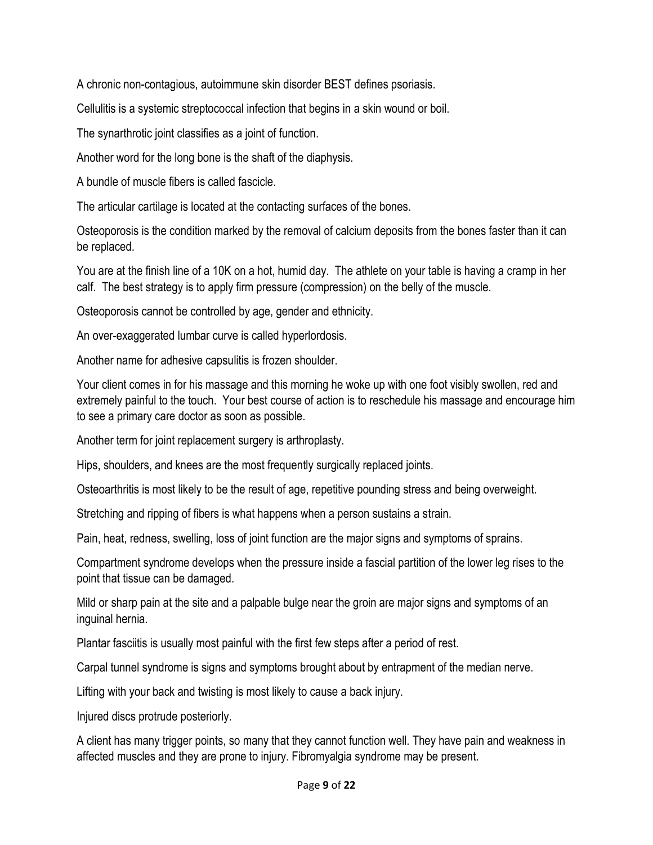A chronic non-contagious, autoimmune skin disorder BEST defines psoriasis.

Cellulitis is a systemic streptococcal infection that begins in a skin wound or boil.

The synarthrotic joint classifies as a joint of function.

Another word for the long bone is the shaft of the diaphysis.

A bundle of muscle fibers is called fascicle.

The articular cartilage is located at the contacting surfaces of the bones.

Osteoporosis is the condition marked by the removal of calcium deposits from the bones faster than it can be replaced.

You are at the finish line of a 10K on a hot, humid day. The athlete on your table is having a cramp in her calf. The best strategy is to apply firm pressure (compression) on the belly of the muscle.

Osteoporosis cannot be controlled by age, gender and ethnicity.

An over-exaggerated lumbar curve is called hyperlordosis.

Another name for adhesive capsulitis is frozen shoulder.

Your client comes in for his massage and this morning he woke up with one foot visibly swollen, red and extremely painful to the touch. Your best course of action is to reschedule his massage and encourage him to see a primary care doctor as soon as possible.

Another term for joint replacement surgery is arthroplasty.

Hips, shoulders, and knees are the most frequently surgically replaced joints.

Osteoarthritis is most likely to be the result of age, repetitive pounding stress and being overweight.

Stretching and ripping of fibers is what happens when a person sustains a strain.

Pain, heat, redness, swelling, loss of joint function are the major signs and symptoms of sprains.

Compartment syndrome develops when the pressure inside a fascial partition of the lower leg rises to the point that tissue can be damaged.

Mild or sharp pain at the site and a palpable bulge near the groin are major signs and symptoms of an inguinal hernia.

Plantar fasciitis is usually most painful with the first few steps after a period of rest.

Carpal tunnel syndrome is signs and symptoms brought about by entrapment of the median nerve.

Lifting with your back and twisting is most likely to cause a back injury.

Injured discs protrude posteriorly.

A client has many trigger points, so many that they cannot function well. They have pain and weakness in affected muscles and they are prone to injury. Fibromyalgia syndrome may be present.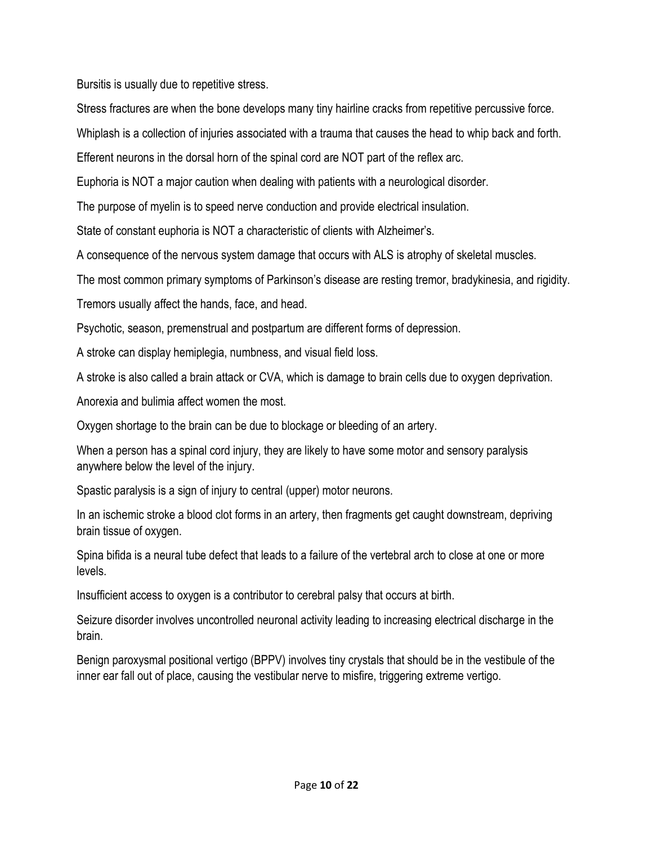Bursitis is usually due to repetitive stress.

Stress fractures are when the bone develops many tiny hairline cracks from repetitive percussive force.

Whiplash is a collection of injuries associated with a trauma that causes the head to whip back and forth.

Efferent neurons in the dorsal horn of the spinal cord are NOT part of the reflex arc.

Euphoria is NOT a major caution when dealing with patients with a neurological disorder.

The purpose of myelin is to speed nerve conduction and provide electrical insulation.

State of constant euphoria is NOT a characteristic of clients with Alzheimer's.

A consequence of the nervous system damage that occurs with ALS is atrophy of skeletal muscles.

The most common primary symptoms of Parkinson's disease are resting tremor, bradykinesia, and rigidity.

Tremors usually affect the hands, face, and head.

Psychotic, season, premenstrual and postpartum are different forms of depression.

A stroke can display hemiplegia, numbness, and visual field loss.

A stroke is also called a brain attack or CVA, which is damage to brain cells due to oxygen deprivation.

Anorexia and bulimia affect women the most.

Oxygen shortage to the brain can be due to blockage or bleeding of an artery.

When a person has a spinal cord injury, they are likely to have some motor and sensory paralysis anywhere below the level of the injury.

Spastic paralysis is a sign of injury to central (upper) motor neurons.

In an ischemic stroke a blood clot forms in an artery, then fragments get caught downstream, depriving brain tissue of oxygen.

Spina bifida is a neural tube defect that leads to a failure of the vertebral arch to close at one or more levels.

Insufficient access to oxygen is a contributor to cerebral palsy that occurs at birth.

Seizure disorder involves uncontrolled neuronal activity leading to increasing electrical discharge in the brain.

Benign paroxysmal positional vertigo (BPPV) involves tiny crystals that should be in the vestibule of the inner ear fall out of place, causing the vestibular nerve to misfire, triggering extreme vertigo.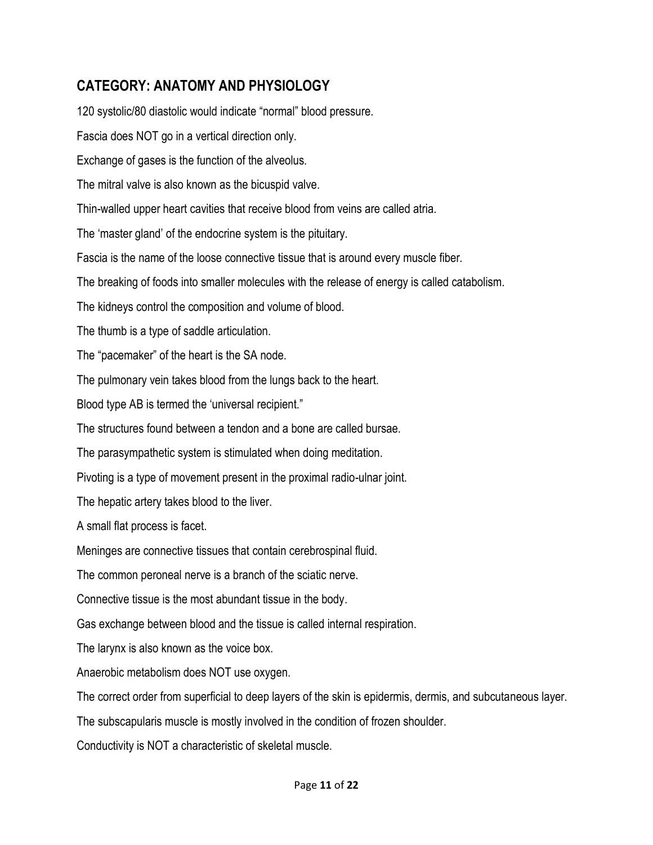## **CATEGORY: ANATOMY AND PHYSIOLOGY**

120 systolic/80 diastolic would indicate "normal" blood pressure. Fascia does NOT go in a vertical direction only. Exchange of gases is the function of the alveolus. The mitral valve is also known as the bicuspid valve. Thin-walled upper heart cavities that receive blood from veins are called atria. The 'master gland' of the endocrine system is the pituitary. Fascia is the name of the loose connective tissue that is around every muscle fiber. The breaking of foods into smaller molecules with the release of energy is called catabolism. The kidneys control the composition and volume of blood. The thumb is a type of saddle articulation. The "pacemaker" of the heart is the SA node. The pulmonary vein takes blood from the lungs back to the heart. Blood type AB is termed the 'universal recipient." The structures found between a tendon and a bone are called bursae. The parasympathetic system is stimulated when doing meditation. Pivoting is a type of movement present in the proximal radio-ulnar joint. The hepatic artery takes blood to the liver. A small flat process is facet. Meninges are connective tissues that contain cerebrospinal fluid. The common peroneal nerve is a branch of the sciatic nerve. Connective tissue is the most abundant tissue in the body. Gas exchange between blood and the tissue is called internal respiration. The larynx is also known as the voice box. Anaerobic metabolism does NOT use oxygen. The correct order from superficial to deep layers of the skin is epidermis, dermis, and subcutaneous layer. The subscapularis muscle is mostly involved in the condition of frozen shoulder. Conductivity is NOT a characteristic of skeletal muscle.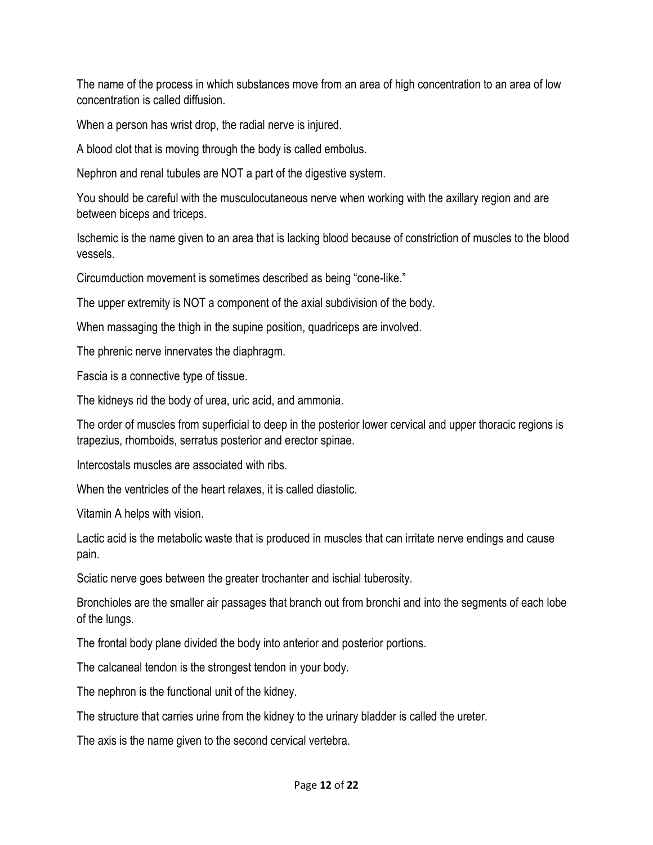The name of the process in which substances move from an area of high concentration to an area of low concentration is called diffusion.

When a person has wrist drop, the radial nerve is injured.

A blood clot that is moving through the body is called embolus.

Nephron and renal tubules are NOT a part of the digestive system.

You should be careful with the musculocutaneous nerve when working with the axillary region and are between biceps and triceps.

Ischemic is the name given to an area that is lacking blood because of constriction of muscles to the blood vessels.

Circumduction movement is sometimes described as being "cone-like."

The upper extremity is NOT a component of the axial subdivision of the body.

When massaging the thigh in the supine position, quadriceps are involved.

The phrenic nerve innervates the diaphragm.

Fascia is a connective type of tissue.

The kidneys rid the body of urea, uric acid, and ammonia.

The order of muscles from superficial to deep in the posterior lower cervical and upper thoracic regions is trapezius, rhomboids, serratus posterior and erector spinae.

Intercostals muscles are associated with ribs.

When the ventricles of the heart relaxes, it is called diastolic.

Vitamin A helps with vision.

Lactic acid is the metabolic waste that is produced in muscles that can irritate nerve endings and cause pain.

Sciatic nerve goes between the greater trochanter and ischial tuberosity.

Bronchioles are the smaller air passages that branch out from bronchi and into the segments of each lobe of the lungs.

The frontal body plane divided the body into anterior and posterior portions.

The calcaneal tendon is the strongest tendon in your body.

The nephron is the functional unit of the kidney.

The structure that carries urine from the kidney to the urinary bladder is called the ureter.

The axis is the name given to the second cervical vertebra.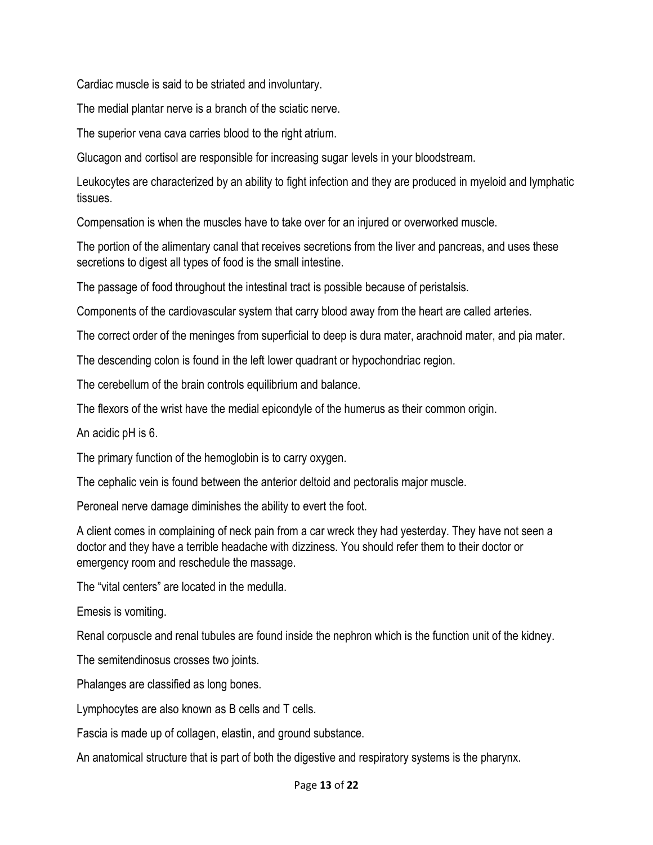Cardiac muscle is said to be striated and involuntary.

The medial plantar nerve is a branch of the sciatic nerve.

The superior vena cava carries blood to the right atrium.

Glucagon and cortisol are responsible for increasing sugar levels in your bloodstream.

Leukocytes are characterized by an ability to fight infection and they are produced in myeloid and lymphatic tissues.

Compensation is when the muscles have to take over for an injured or overworked muscle.

The portion of the alimentary canal that receives secretions from the liver and pancreas, and uses these secretions to digest all types of food is the small intestine.

The passage of food throughout the intestinal tract is possible because of peristalsis.

Components of the cardiovascular system that carry blood away from the heart are called arteries.

The correct order of the meninges from superficial to deep is dura mater, arachnoid mater, and pia mater.

The descending colon is found in the left lower quadrant or hypochondriac region.

The cerebellum of the brain controls equilibrium and balance.

The flexors of the wrist have the medial epicondyle of the humerus as their common origin.

An acidic pH is 6.

The primary function of the hemoglobin is to carry oxygen.

The cephalic vein is found between the anterior deltoid and pectoralis major muscle.

Peroneal nerve damage diminishes the ability to evert the foot.

A client comes in complaining of neck pain from a car wreck they had yesterday. They have not seen a doctor and they have a terrible headache with dizziness. You should refer them to their doctor or emergency room and reschedule the massage.

The "vital centers" are located in the medulla.

Emesis is vomiting.

Renal corpuscle and renal tubules are found inside the nephron which is the function unit of the kidney.

The semitendinosus crosses two joints.

Phalanges are classified as long bones.

Lymphocytes are also known as B cells and T cells.

Fascia is made up of collagen, elastin, and ground substance.

An anatomical structure that is part of both the digestive and respiratory systems is the pharynx.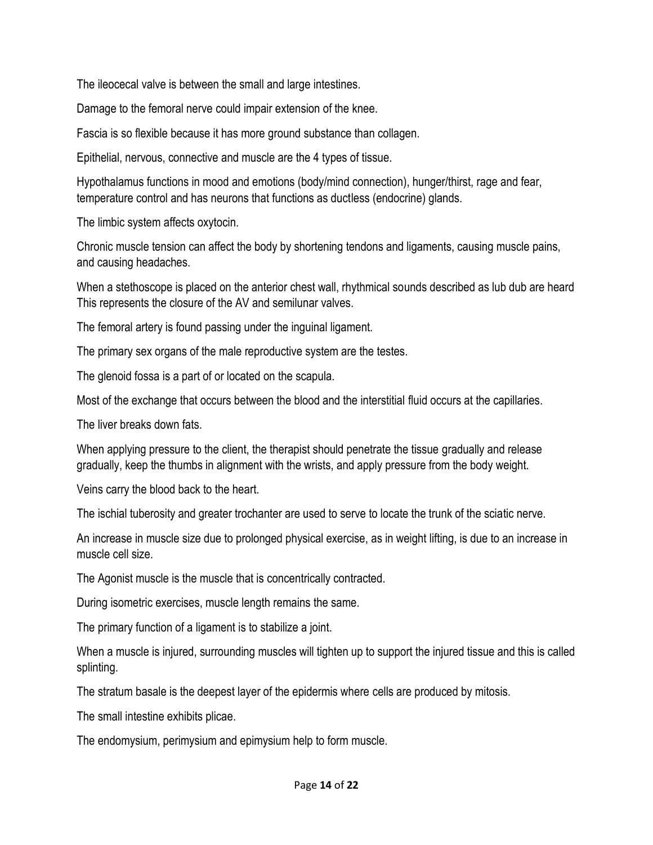The ileocecal valve is between the small and large intestines.

Damage to the femoral nerve could impair extension of the knee.

Fascia is so flexible because it has more ground substance than collagen.

Epithelial, nervous, connective and muscle are the 4 types of tissue.

Hypothalamus functions in mood and emotions (body/mind connection), hunger/thirst, rage and fear, temperature control and has neurons that functions as ductless (endocrine) glands.

The limbic system affects oxytocin.

Chronic muscle tension can affect the body by shortening tendons and ligaments, causing muscle pains, and causing headaches.

When a stethoscope is placed on the anterior chest wall, rhythmical sounds described as lub dub are heard This represents the closure of the AV and semilunar valves.

The femoral artery is found passing under the inguinal ligament.

The primary sex organs of the male reproductive system are the testes.

The glenoid fossa is a part of or located on the scapula.

Most of the exchange that occurs between the blood and the interstitial fluid occurs at the capillaries.

The liver breaks down fats.

When applying pressure to the client, the therapist should penetrate the tissue gradually and release gradually, keep the thumbs in alignment with the wrists, and apply pressure from the body weight.

Veins carry the blood back to the heart.

The ischial tuberosity and greater trochanter are used to serve to locate the trunk of the sciatic nerve.

An increase in muscle size due to prolonged physical exercise, as in weight lifting, is due to an increase in muscle cell size.

The Agonist muscle is the muscle that is concentrically contracted.

During isometric exercises, muscle length remains the same.

The primary function of a ligament is to stabilize a joint.

When a muscle is injured, surrounding muscles will tighten up to support the injured tissue and this is called splinting.

The stratum basale is the deepest layer of the epidermis where cells are produced by mitosis.

The small intestine exhibits plicae.

The endomysium, perimysium and epimysium help to form muscle.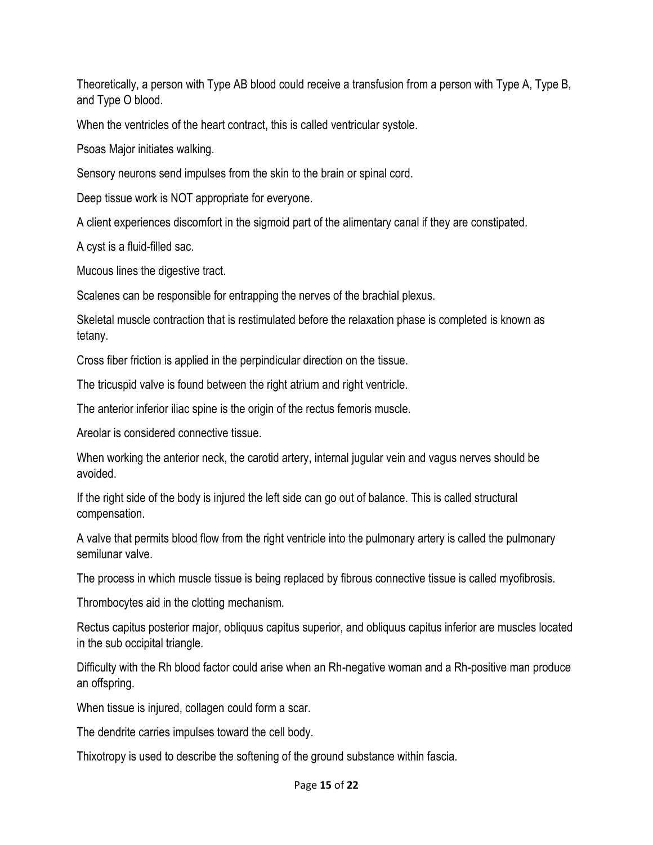Theoretically, a person with Type AB blood could receive a transfusion from a person with Type A, Type B, and Type O blood.

When the ventricles of the heart contract, this is called ventricular systole.

Psoas Major initiates walking.

Sensory neurons send impulses from the skin to the brain or spinal cord.

Deep tissue work is NOT appropriate for everyone.

A client experiences discomfort in the sigmoid part of the alimentary canal if they are constipated.

A cyst is a fluid-filled sac.

Mucous lines the digestive tract.

Scalenes can be responsible for entrapping the nerves of the brachial plexus.

Skeletal muscle contraction that is restimulated before the relaxation phase is completed is known as tetany.

Cross fiber friction is applied in the perpindicular direction on the tissue.

The tricuspid valve is found between the right atrium and right ventricle.

The anterior inferior iliac spine is the origin of the rectus femoris muscle.

Areolar is considered connective tissue.

When working the anterior neck, the carotid artery, internal jugular vein and vagus nerves should be avoided.

If the right side of the body is injured the left side can go out of balance. This is called structural compensation.

A valve that permits blood flow from the right ventricle into the pulmonary artery is called the pulmonary semilunar valve.

The process in which muscle tissue is being replaced by fibrous connective tissue is called myofibrosis.

Thrombocytes aid in the clotting mechanism.

Rectus capitus posterior major, obliquus capitus superior, and obliquus capitus inferior are muscles located in the sub occipital triangle.

Difficulty with the Rh blood factor could arise when an Rh-negative woman and a Rh-positive man produce an offspring.

When tissue is injured, collagen could form a scar.

The dendrite carries impulses toward the cell body.

Thixotropy is used to describe the softening of the ground substance within fascia.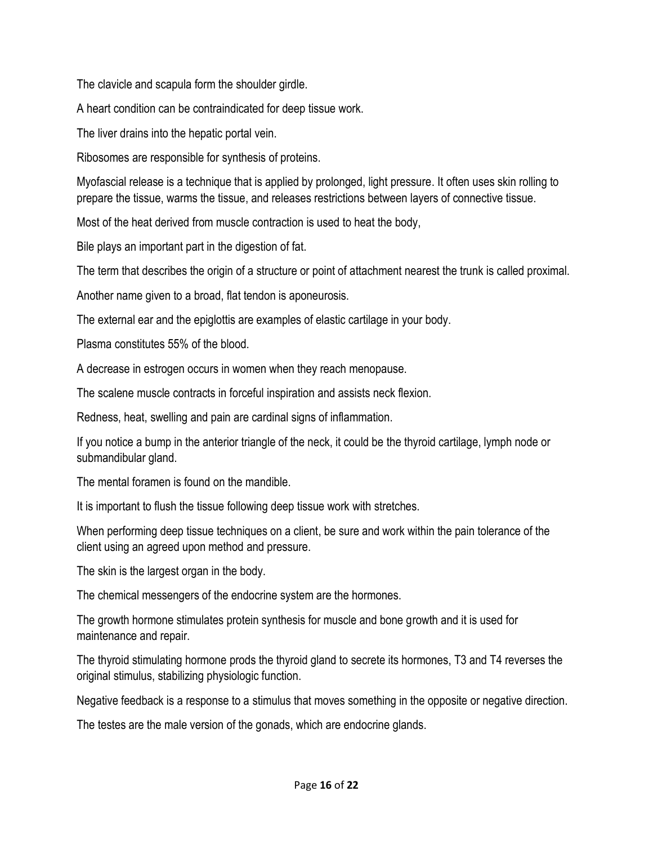The clavicle and scapula form the shoulder girdle.

A heart condition can be contraindicated for deep tissue work.

The liver drains into the hepatic portal vein.

Ribosomes are responsible for synthesis of proteins.

Myofascial release is a technique that is applied by prolonged, light pressure. It often uses skin rolling to prepare the tissue, warms the tissue, and releases restrictions between layers of connective tissue.

Most of the heat derived from muscle contraction is used to heat the body,

Bile plays an important part in the digestion of fat.

The term that describes the origin of a structure or point of attachment nearest the trunk is called proximal.

Another name given to a broad, flat tendon is aponeurosis.

The external ear and the epiglottis are examples of elastic cartilage in your body.

Plasma constitutes 55% of the blood.

A decrease in estrogen occurs in women when they reach menopause.

The scalene muscle contracts in forceful inspiration and assists neck flexion.

Redness, heat, swelling and pain are cardinal signs of inflammation.

If you notice a bump in the anterior triangle of the neck, it could be the thyroid cartilage, lymph node or submandibular gland.

The mental foramen is found on the mandible.

It is important to flush the tissue following deep tissue work with stretches.

When performing deep tissue techniques on a client, be sure and work within the pain tolerance of the client using an agreed upon method and pressure.

The skin is the largest organ in the body.

The chemical messengers of the endocrine system are the hormones.

The growth hormone stimulates protein synthesis for muscle and bone growth and it is used for maintenance and repair.

The thyroid stimulating hormone prods the thyroid gland to secrete its hormones, T3 and T4 reverses the original stimulus, stabilizing physiologic function.

Negative feedback is a response to a stimulus that moves something in the opposite or negative direction.

The testes are the male version of the gonads, which are endocrine glands.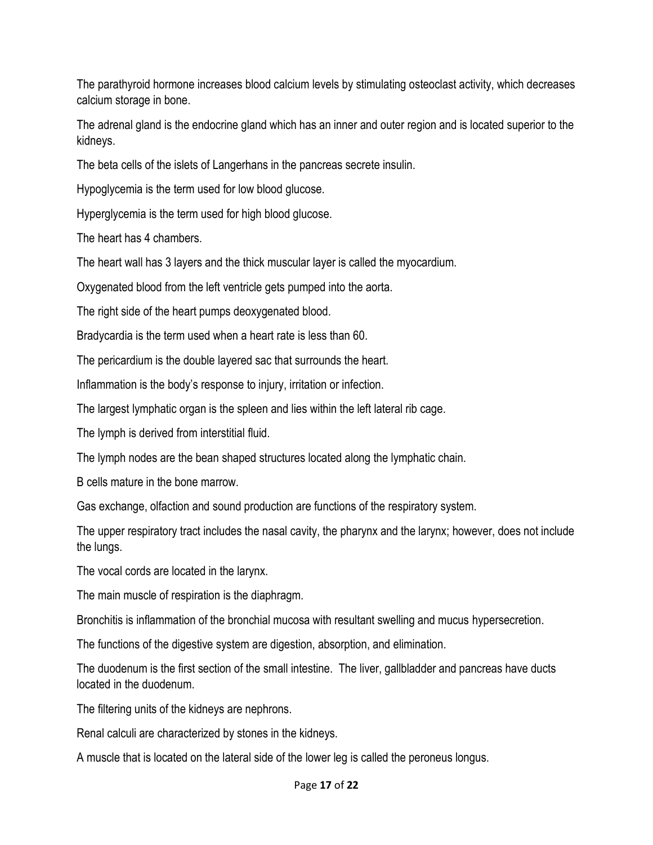The parathyroid hormone increases blood calcium levels by stimulating osteoclast activity, which decreases calcium storage in bone.

The adrenal gland is the endocrine gland which has an inner and outer region and is located superior to the kidneys.

The beta cells of the islets of Langerhans in the pancreas secrete insulin.

Hypoglycemia is the term used for low blood glucose.

Hyperglycemia is the term used for high blood glucose.

The heart has 4 chambers.

The heart wall has 3 layers and the thick muscular layer is called the myocardium.

Oxygenated blood from the left ventricle gets pumped into the aorta.

The right side of the heart pumps deoxygenated blood.

Bradycardia is the term used when a heart rate is less than 60.

The pericardium is the double layered sac that surrounds the heart.

Inflammation is the body's response to injury, irritation or infection.

The largest lymphatic organ is the spleen and lies within the left lateral rib cage.

The lymph is derived from interstitial fluid.

The lymph nodes are the bean shaped structures located along the lymphatic chain.

B cells mature in the bone marrow.

Gas exchange, olfaction and sound production are functions of the respiratory system.

The upper respiratory tract includes the nasal cavity, the pharynx and the larynx; however, does not include the lungs.

The vocal cords are located in the larynx.

The main muscle of respiration is the diaphragm.

Bronchitis is inflammation of the bronchial mucosa with resultant swelling and mucus hypersecretion.

The functions of the digestive system are digestion, absorption, and elimination.

The duodenum is the first section of the small intestine. The liver, gallbladder and pancreas have ducts located in the duodenum.

The filtering units of the kidneys are nephrons.

Renal calculi are characterized by stones in the kidneys.

A muscle that is located on the lateral side of the lower leg is called the peroneus longus.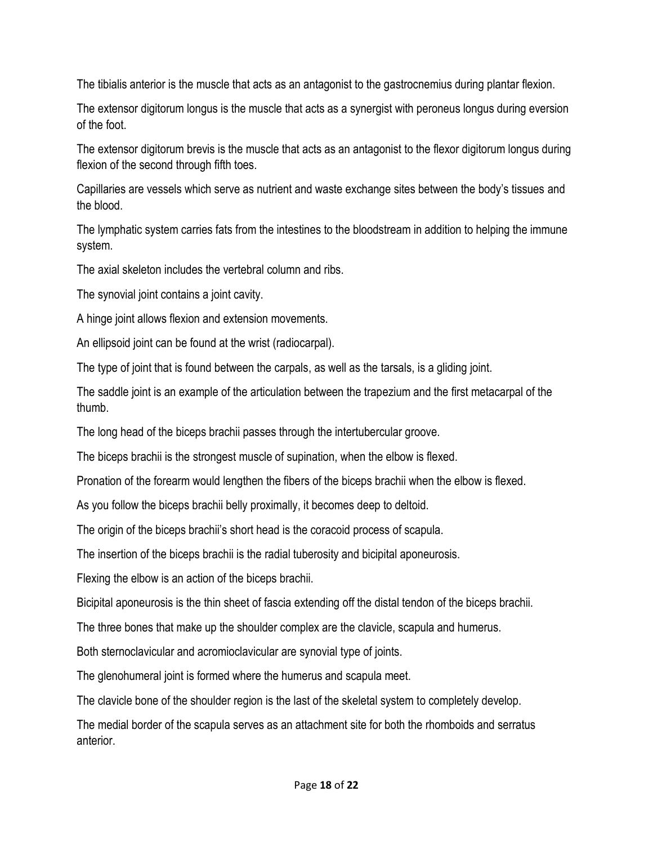The tibialis anterior is the muscle that acts as an antagonist to the gastrocnemius during plantar flexion.

The extensor digitorum longus is the muscle that acts as a synergist with peroneus longus during eversion of the foot.

The extensor digitorum brevis is the muscle that acts as an antagonist to the flexor digitorum longus during flexion of the second through fifth toes.

Capillaries are vessels which serve as nutrient and waste exchange sites between the body's tissues and the blood.

The lymphatic system carries fats from the intestines to the bloodstream in addition to helping the immune system.

The axial skeleton includes the vertebral column and ribs.

The synovial joint contains a joint cavity.

A hinge joint allows flexion and extension movements.

An ellipsoid joint can be found at the wrist (radiocarpal).

The type of joint that is found between the carpals, as well as the tarsals, is a gliding joint.

The saddle joint is an example of the articulation between the trapezium and the first metacarpal of the thumb.

The long head of the biceps brachii passes through the intertubercular groove.

The biceps brachii is the strongest muscle of supination, when the elbow is flexed.

Pronation of the forearm would lengthen the fibers of the biceps brachii when the elbow is flexed.

As you follow the biceps brachii belly proximally, it becomes deep to deltoid.

The origin of the biceps brachii's short head is the coracoid process of scapula.

The insertion of the biceps brachii is the radial tuberosity and bicipital aponeurosis.

Flexing the elbow is an action of the biceps brachii.

Bicipital aponeurosis is the thin sheet of fascia extending off the distal tendon of the biceps brachii.

The three bones that make up the shoulder complex are the clavicle, scapula and humerus.

Both sternoclavicular and acromioclavicular are synovial type of joints.

The glenohumeral joint is formed where the humerus and scapula meet.

The clavicle bone of the shoulder region is the last of the skeletal system to completely develop.

The medial border of the scapula serves as an attachment site for both the rhomboids and serratus anterior.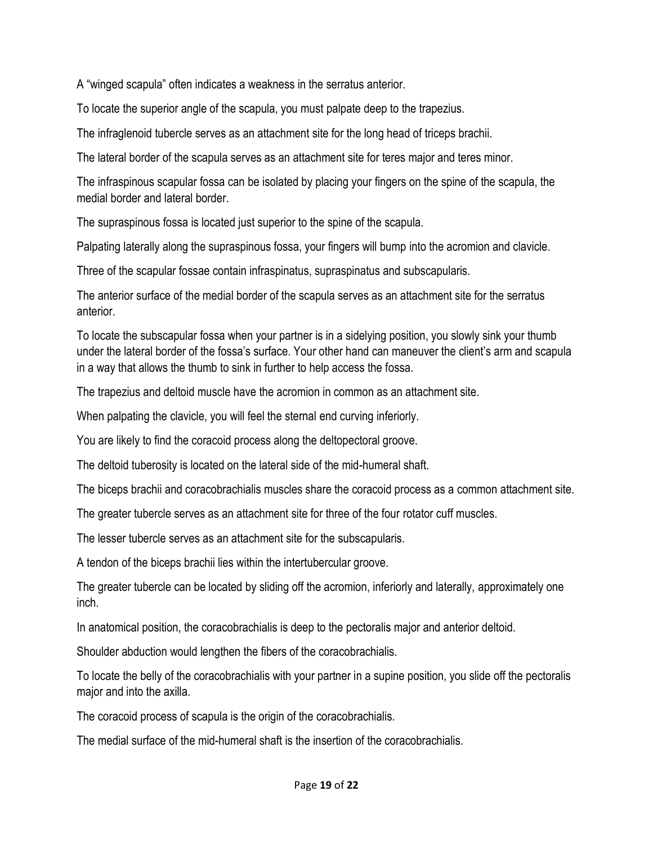A "winged scapula" often indicates a weakness in the serratus anterior.

To locate the superior angle of the scapula, you must palpate deep to the trapezius.

The infraglenoid tubercle serves as an attachment site for the long head of triceps brachii.

The lateral border of the scapula serves as an attachment site for teres major and teres minor.

The infraspinous scapular fossa can be isolated by placing your fingers on the spine of the scapula, the medial border and lateral border.

The supraspinous fossa is located just superior to the spine of the scapula.

Palpating laterally along the supraspinous fossa, your fingers will bump into the acromion and clavicle.

Three of the scapular fossae contain infraspinatus, supraspinatus and subscapularis.

The anterior surface of the medial border of the scapula serves as an attachment site for the serratus anterior.

To locate the subscapular fossa when your partner is in a sidelying position, you slowly sink your thumb under the lateral border of the fossa's surface. Your other hand can maneuver the client's arm and scapula in a way that allows the thumb to sink in further to help access the fossa.

The trapezius and deltoid muscle have the acromion in common as an attachment site.

When palpating the clavicle, you will feel the sternal end curving inferiorly.

You are likely to find the coracoid process along the deltopectoral groove.

The deltoid tuberosity is located on the lateral side of the mid-humeral shaft.

The biceps brachii and coracobrachialis muscles share the coracoid process as a common attachment site.

The greater tubercle serves as an attachment site for three of the four rotator cuff muscles.

The lesser tubercle serves as an attachment site for the subscapularis.

A tendon of the biceps brachii lies within the intertubercular groove.

The greater tubercle can be located by sliding off the acromion, inferiorly and laterally, approximately one inch.

In anatomical position, the coracobrachialis is deep to the pectoralis major and anterior deltoid.

Shoulder abduction would lengthen the fibers of the coracobrachialis.

To locate the belly of the coracobrachialis with your partner in a supine position, you slide off the pectoralis major and into the axilla.

The coracoid process of scapula is the origin of the coracobrachialis.

The medial surface of the mid-humeral shaft is the insertion of the coracobrachialis.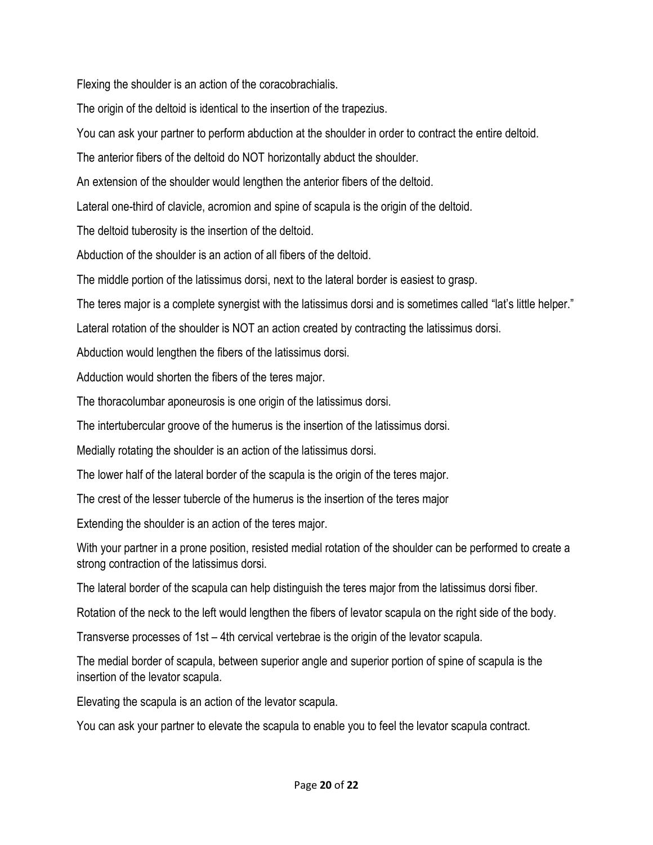Flexing the shoulder is an action of the coracobrachialis.

The origin of the deltoid is identical to the insertion of the trapezius.

You can ask your partner to perform abduction at the shoulder in order to contract the entire deltoid.

The anterior fibers of the deltoid do NOT horizontally abduct the shoulder.

An extension of the shoulder would lengthen the anterior fibers of the deltoid.

Lateral one-third of clavicle, acromion and spine of scapula is the origin of the deltoid.

The deltoid tuberosity is the insertion of the deltoid.

Abduction of the shoulder is an action of all fibers of the deltoid.

The middle portion of the latissimus dorsi, next to the lateral border is easiest to grasp.

The teres major is a complete synergist with the latissimus dorsi and is sometimes called "lat's little helper."

Lateral rotation of the shoulder is NOT an action created by contracting the latissimus dorsi.

Abduction would lengthen the fibers of the latissimus dorsi.

Adduction would shorten the fibers of the teres major.

The thoracolumbar aponeurosis is one origin of the latissimus dorsi.

The intertubercular groove of the humerus is the insertion of the latissimus dorsi.

Medially rotating the shoulder is an action of the latissimus dorsi.

The lower half of the lateral border of the scapula is the origin of the teres major.

The crest of the lesser tubercle of the humerus is the insertion of the teres major

Extending the shoulder is an action of the teres major.

With your partner in a prone position, resisted medial rotation of the shoulder can be performed to create a strong contraction of the latissimus dorsi.

The lateral border of the scapula can help distinguish the teres major from the latissimus dorsi fiber.

Rotation of the neck to the left would lengthen the fibers of levator scapula on the right side of the body.

Transverse processes of 1st – 4th cervical vertebrae is the origin of the levator scapula.

The medial border of scapula, between superior angle and superior portion of spine of scapula is the insertion of the levator scapula.

Elevating the scapula is an action of the levator scapula.

You can ask your partner to elevate the scapula to enable you to feel the levator scapula contract.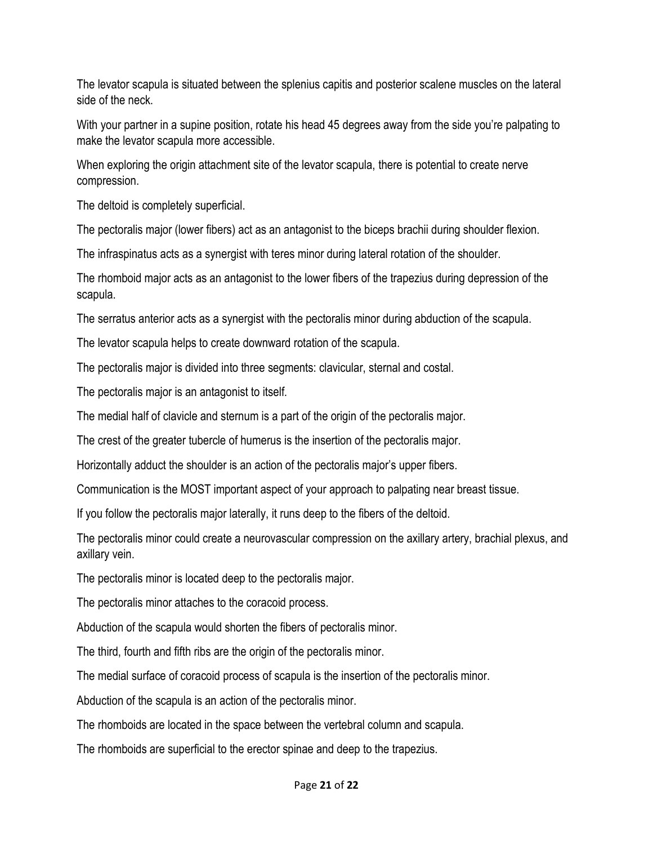The levator scapula is situated between the splenius capitis and posterior scalene muscles on the lateral side of the neck.

With your partner in a supine position, rotate his head 45 degrees away from the side you're palpating to make the levator scapula more accessible.

When exploring the origin attachment site of the levator scapula, there is potential to create nerve compression.

The deltoid is completely superficial.

The pectoralis major (lower fibers) act as an antagonist to the biceps brachii during shoulder flexion.

The infraspinatus acts as a synergist with teres minor during lateral rotation of the shoulder.

The rhomboid major acts as an antagonist to the lower fibers of the trapezius during depression of the scapula.

The serratus anterior acts as a synergist with the pectoralis minor during abduction of the scapula.

The levator scapula helps to create downward rotation of the scapula.

The pectoralis major is divided into three segments: clavicular, sternal and costal.

The pectoralis major is an antagonist to itself.

The medial half of clavicle and sternum is a part of the origin of the pectoralis major.

The crest of the greater tubercle of humerus is the insertion of the pectoralis major.

Horizontally adduct the shoulder is an action of the pectoralis major's upper fibers.

Communication is the MOST important aspect of your approach to palpating near breast tissue.

If you follow the pectoralis major laterally, it runs deep to the fibers of the deltoid.

The pectoralis minor could create a neurovascular compression on the axillary artery, brachial plexus, and axillary vein.

The pectoralis minor is located deep to the pectoralis major.

The pectoralis minor attaches to the coracoid process.

Abduction of the scapula would shorten the fibers of pectoralis minor.

The third, fourth and fifth ribs are the origin of the pectoralis minor.

The medial surface of coracoid process of scapula is the insertion of the pectoralis minor.

Abduction of the scapula is an action of the pectoralis minor.

The rhomboids are located in the space between the vertebral column and scapula.

The rhomboids are superficial to the erector spinae and deep to the trapezius.